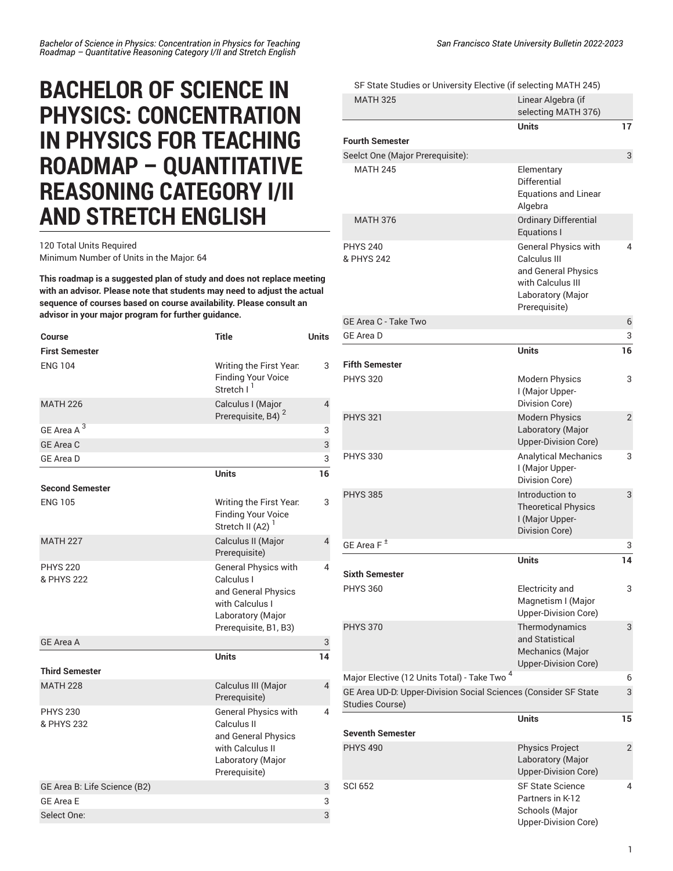## **BACHELOR OF SCIENCE IN PHYSICS: CONCENTRATION IN PHYSICS FOR TEACHING ROADMAP – QUANTITATIVE REASONING CATEGORY I/II AND STRETCH ENGLISH**

## 120 Total Units Required Minimum Number of Units in the Major: 64

**This roadmap is a suggested plan of study and does not replace meeting with an advisor. Please note that students may need to adjust the actual sequence of courses based on course availability. Please consult an advisor in your major program for further guidance.**

| Course                        | <b>Title</b>                                                                                                               | <b>Units</b>   |
|-------------------------------|----------------------------------------------------------------------------------------------------------------------------|----------------|
| <b>First Semester</b>         |                                                                                                                            |                |
| <b>ENG 104</b>                | Writing the First Year.<br><b>Finding Your Voice</b><br>Stretch I <sup>1</sup>                                             | 3              |
| <b>MATH 226</b>               | Calculus I (Major<br>Prerequisite, B4) <sup>2</sup>                                                                        | 4              |
| GE Area A <sup>3</sup>        |                                                                                                                            | 3              |
| GE Area C                     |                                                                                                                            | 3              |
| <b>GE Area D</b>              |                                                                                                                            | 3              |
|                               | <b>Units</b>                                                                                                               | 16             |
| <b>Second Semester</b>        |                                                                                                                            |                |
| <b>ENG 105</b>                | Writing the First Year.<br><b>Finding Your Voice</b><br>Stretch II (A2) $1$                                                | 3              |
| <b>MATH 227</b>               | Calculus II (Major<br>Prerequisite)                                                                                        | $\overline{4}$ |
| <b>PHYS 220</b><br>& PHYS 222 | General Physics with<br>Calculus I<br>and General Physics<br>with Calculus I<br>Laboratory (Major<br>Prerequisite, B1, B3) | 4              |
| <b>GE Area A</b>              |                                                                                                                            | 3              |
| <b>Third Semester</b>         | <b>Units</b>                                                                                                               | 14             |
| <b>MATH 228</b>               | Calculus III (Major<br>Prerequisite)                                                                                       | 4              |
| <b>PHYS 230</b><br>& PHYS 232 | General Physics with<br>Calculus II<br>and General Physics<br>with Calculus II<br>Laboratory (Major<br>Prerequisite)       | 4              |
| GE Area B: Life Science (B2)  |                                                                                                                            | 3              |
| <b>GE Area E</b>              |                                                                                                                            | 3              |
| Select One:                   |                                                                                                                            | 3              |

SF State Studies or [University](/undergraduate-education/sf-state-studies/) Elective (if selecting MATH 245)

| <b>MATH 325</b>                                                                           | Linear Algebra (if<br>selecting MATH 376)                                                                                     |                |
|-------------------------------------------------------------------------------------------|-------------------------------------------------------------------------------------------------------------------------------|----------------|
|                                                                                           | Units                                                                                                                         | 17             |
| <b>Fourth Semester</b>                                                                    |                                                                                                                               |                |
| Seelct One (Major Prerequisite):                                                          |                                                                                                                               | 3              |
| <b>MATH 245</b>                                                                           | Elementary<br>Differential<br><b>Equations and Linear</b><br>Algebra                                                          |                |
| <b>MATH 376</b>                                                                           | Ordinary Differential<br><b>Equations I</b>                                                                                   |                |
| <b>PHYS 240</b><br>& PHYS 242                                                             | <b>General Physics with</b><br>Calculus III<br>and General Physics<br>with Calculus III<br>Laboratory (Major<br>Prerequisite) | 4              |
| GE Area C - Take Two                                                                      |                                                                                                                               | 6              |
| <b>GE Area D</b>                                                                          |                                                                                                                               | 3              |
| <b>Fifth Semester</b>                                                                     | <b>Units</b>                                                                                                                  | 16             |
| <b>PHYS 320</b>                                                                           | <b>Modern Physics</b><br>I (Major Upper-<br>Division Core)                                                                    | 3              |
| <b>PHYS 321</b>                                                                           | <b>Modern Physics</b><br>Laboratory (Major<br>Upper-Division Core)                                                            | $\overline{2}$ |
| <b>PHYS 330</b>                                                                           | <b>Analytical Mechanics</b><br>I (Major Upper-<br>Division Core)                                                              | 3              |
| <b>PHYS 385</b>                                                                           | Introduction to<br><b>Theoretical Physics</b><br>I (Major Upper-<br>Division Core)                                            | 3              |
| GE Area F <sup>±</sup>                                                                    |                                                                                                                               | 3              |
|                                                                                           | <b>Units</b>                                                                                                                  | 14             |
| <b>Sixth Semester</b>                                                                     |                                                                                                                               |                |
| <b>PHYS 360</b>                                                                           | Electricity and<br>Magnetism I (Major<br>Upper-Division Core)                                                                 | 3              |
| <b>PHYS 370</b>                                                                           | Thermodynamics<br>and Statistical<br>Mechanics (Major<br>Upper-Division Core)                                                 | 3              |
| Major Elective (12 Units Total) - Take Two <sup>4</sup>                                   |                                                                                                                               | 6              |
| GE Area UD-D. Upper-Division Social Sciences (Consider SF State<br><b>Studies Course)</b> |                                                                                                                               | 3              |
| <b>Seventh Semester</b>                                                                   | <b>Units</b>                                                                                                                  | 15             |
| <b>PHYS 490</b>                                                                           | <b>Physics Project</b><br>Laboratory (Major<br>Upper-Division Core)                                                           | $\overline{2}$ |
| <b>SCI 652</b>                                                                            | <b>SF State Science</b><br>Partners in K-12<br>Schools (Major<br>Upper-Division Core)                                         | 4              |